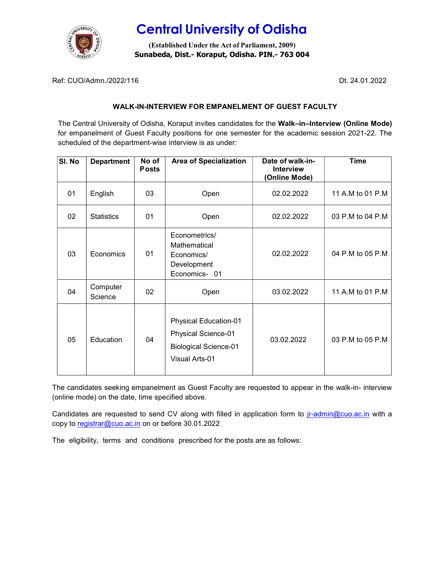

# Central University of Odisha

(Established Under the Act of Parliament, 2009) Sunabeda, Dist.- Koraput, Odisha. PIN.- 763 004

Ref: CUO/Admn./2022/116 Dt. 24.01.2022

### WALK-IN-INTERVIEW FOR EMPANELMENT OF GUEST FACULTY

The Central University of Odisha, Koraput invites candidates for the Walk–in–Interview (Online Mode) for empanelment of Guest Faculty positions for one semester for the academic session 2021-22. The scheduled of the department-wise interview is as under:

| SI. No | <b>Department</b>   | No of<br><b>Posts</b> | <b>Area of Specialization</b>                                                                                | Date of walk-in-<br><b>Interview</b><br>(Online Mode) | <b>Time</b>      |
|--------|---------------------|-----------------------|--------------------------------------------------------------------------------------------------------------|-------------------------------------------------------|------------------|
| 01     | English             | 03                    | Open                                                                                                         | 02.02.2022                                            | 11 A.M to 01 P.M |
| 02     | <b>Statistics</b>   | 01                    | Open                                                                                                         | 02.02.2022                                            | 03 P.M to 04 P.M |
| 03     | Economics           | 01                    | Econometrics/<br>Mathematical<br>Economics/<br>Development<br>Economics-01                                   | 02.02.2022                                            | 04 P.M to 05 P.M |
| 04     | Computer<br>Science | 02                    | Open                                                                                                         | 03.02.2022                                            | 11 A.M to 01 P.M |
| 05     | Education           | 04                    | <b>Physical Education-01</b><br>Physical Science-01<br><b>Biological Science-01</b><br><b>Visual Arts-01</b> | 03.02.2022                                            | 03 P.M to 05 P.M |

The candidates seeking empanelment as Guest Faculty are requested to appear in the walk-in- interview (online mode) on the date, time specified above.

Candidates are requested to send CV along with filled in application form to *jr-admin@cuo.ac.in* with a copy to registrar@cuo.ac.in on or before 30.01.2022

The eligibility, terms and conditions prescribed for the posts are as follows: